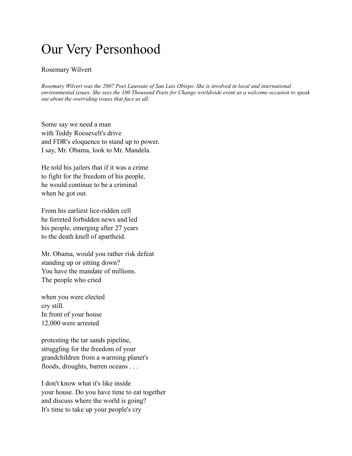## Our Very Personhood

## Rosemary Wilvert

*Rosemary Wilvert was the 2007 Poet Laureate of San Luis Obispo. She is involved in local and international environmental issues. She sees the 100 Thousand Poets for Change worldwide event as a welcome occasion to speak out about the overriding issues that face us all.*

Some say we need a man with Teddy Roosevelt's drive and FDR's eloquence to stand up to power. I say, Mr. Obama, look to Mr. Mandela.

He told his jailers that if it was a crime to fight for the freedom of his people, he would continue to be a criminal when he got out.

From his earliest lice-ridden cell he ferreted forbidden news and led his people, emerging after 27 years to the death knell of apartheid.

Mr. Obama, would you rather risk defeat standing up or sitting down? You have the mandate of millions. The people who cried

when you were elected cry still. In front of your house 12,000 were arrested

protesting the tar sands pipeline, struggling for the freedom of your grandchildren from a warming planet's floods, droughts, barren oceans . . .

I don't know what it's like inside your house. Do you have time to eat together and discuss where the world is going? It's time to take up your people's cry